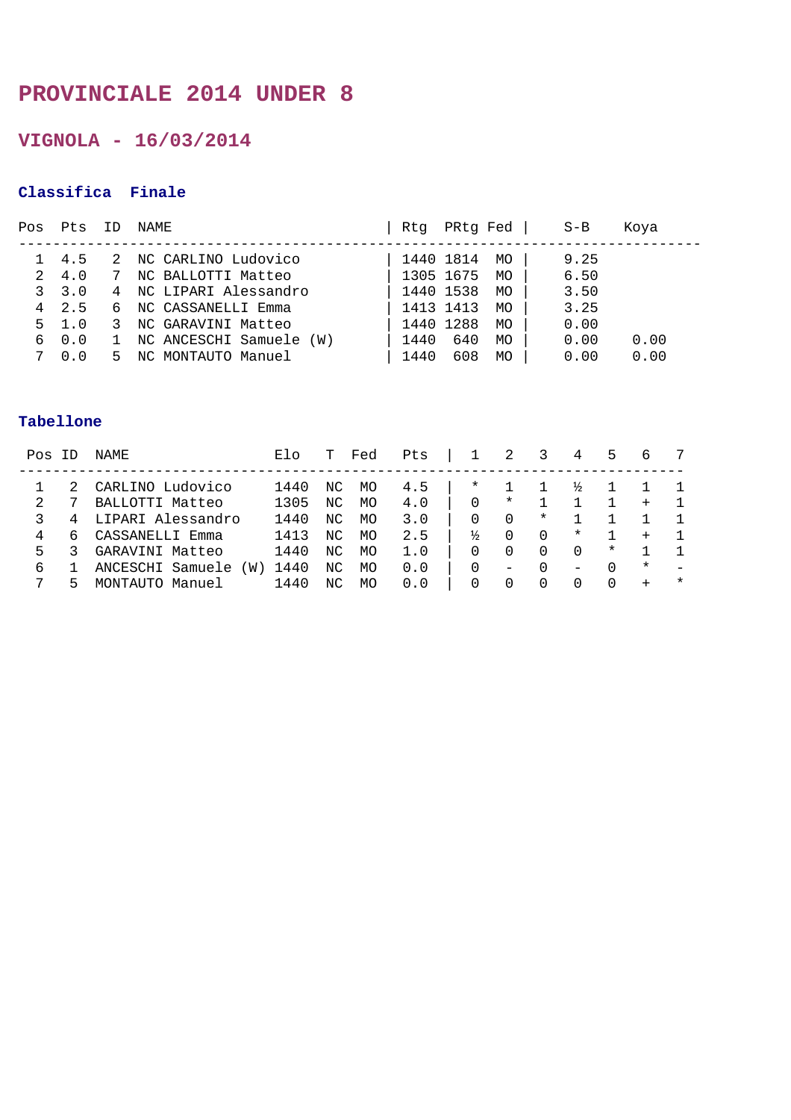### **PROVINCIALE 2014 UNDER 8**

**VIGNOLA - 16/03/2014** 

#### **Classifica Finale**

| Pos | Pts     | TD | NAME                      | Rtq  | PRtg Fed  |           | $S-B$ | Koya |
|-----|---------|----|---------------------------|------|-----------|-----------|-------|------|
|     | 4.5     | 2  | NC CARLINO Ludovico       |      | 1440 1814 | MO.       | 9.25  |      |
| 2   | 4.0     | 7  | NC BALLOTTI Matteo        |      | 1305 1675 | MO        | 6.50  |      |
|     | 3, 3, 0 |    | 4 NC LIPARI Alessandro    |      | 1440 1538 | MO        | 3.50  |      |
|     | 4 2.5   |    | NC CASSANELLI Emma        |      | 1413 1413 | <b>MO</b> | 3.25  |      |
|     | 5 1.0   | 3  | NC GARAVINI Matteo        |      | 1440 1288 | <b>MO</b> | 0.00  |      |
|     | 6 0.0   |    | 1 NC ANCESCHI Samuele (W) | 1440 | 640       | MO        | 0.00  | 0.00 |
|     | 0.0     | 5. | NC MONTAUTO Manuel        | 1440 | 608       | <b>MO</b> | 0.00  | 0.00 |

| Pos | ΤD | NAME                    | Elo  |    | Fed       | Pts |              |                  |          | 4                        | 5            | b        |        |
|-----|----|-------------------------|------|----|-----------|-----|--------------|------------------|----------|--------------------------|--------------|----------|--------|
|     |    | CARLINO Ludovico        | 1440 | ΝC | MO        | 4.5 | *            |                  |          |                          |              |          |        |
| 2.  |    | BALLOTTI Matteo         | 1305 | NC | <b>MO</b> | 4.0 | $\Omega$     | $^\star$         |          |                          |              | $+$      |        |
|     |    | LIPARI Alessandro       | 1440 | NC | MO        | 3.0 | 0            | 0                | $^\star$ |                          |              |          |        |
| 4   | 6  | CASSANELLI Emma         | 1413 | NC | MO        | 2.5 | ⅓            | 0                | $\Omega$ | $\ast$                   |              | $^{+}$   |        |
| 5.  |    | GARAVINI Matteo         | 1440 | NC | MO        | 1.0 | 0            | $\left( \right)$ | 0        | 0                        | $\ast$       |          |        |
| 6   |    | ANCESCHI Samuele<br>(W) | 1440 | ΝC | MO        | 0.0 | $\Omega$     | -                | 0        | $\overline{\phantom{m}}$ | <sup>n</sup> | $^\star$ |        |
|     |    | MONTAUTO<br>Manuel      | 1440 | NC | MO        | 0.0 | <sup>0</sup> | $\bigcap$        |          |                          |              | $+$      | $\ast$ |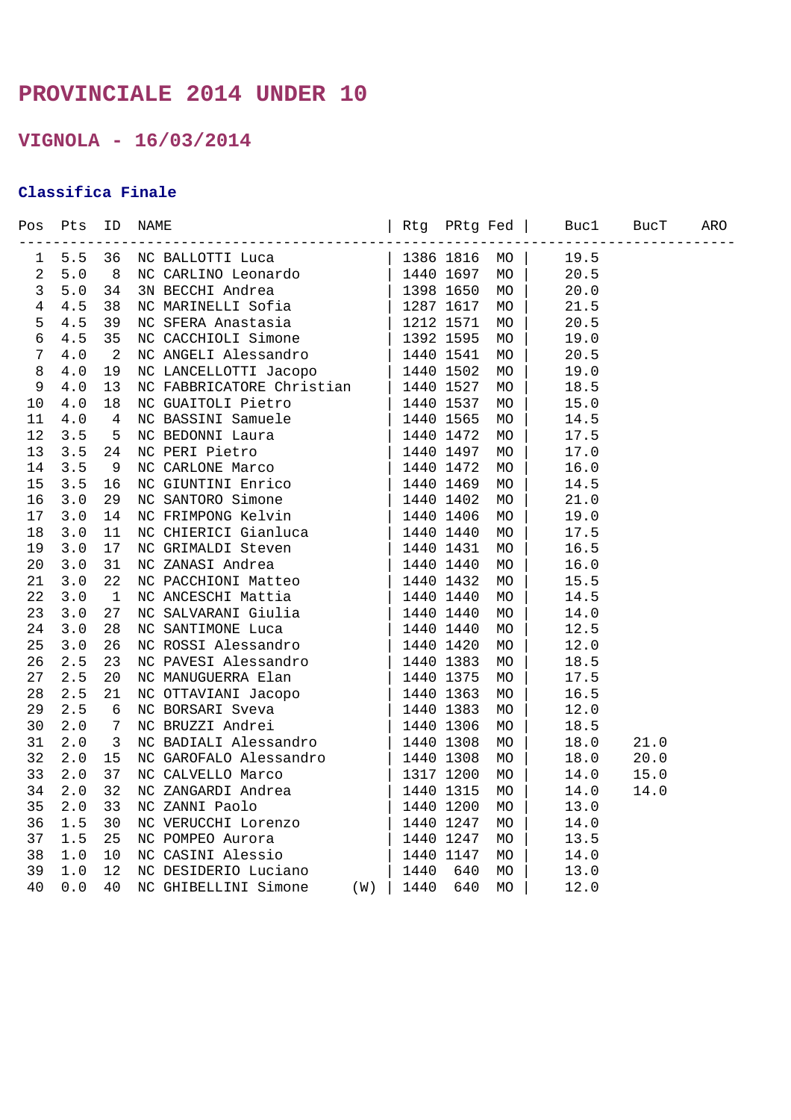## **PROVINCIALE 2014 UNDER 10**

**VIGNOLA - 16/03/2014** 

### **Classifica Finale**

|                | Pos Pts | $\begin{tabular}{c c c c} $10$ $MMR$ & $160$ $M_{\odot}$ & $160$ $M_{\odot}$ \\[-0.2cm] $-10$ $M_{\odot}$ & $100$ $M_{\odot}$ \\[-0.2cm] $10$ & $80$ $M_{\odot}$ \\[-0.2cm] $10$ & $80$ $M_{\odot}$ \\[-0.2cm] $10$ & $100$ $M_{\odot}$ \\[-0.2cm] $10$ & $100$ $M_{\odot}$ \\[-0.2cm] $10$ & $100$ $M_{\odot}$ \\[-0.2cm] $10$ & $100$ $M_{\od$ |  |  |      |  |
|----------------|---------|--------------------------------------------------------------------------------------------------------------------------------------------------------------------------------------------------------------------------------------------------------------------------------------------------------------------------------------------------|--|--|------|--|
| 1              | 5.5     |                                                                                                                                                                                                                                                                                                                                                  |  |  |      |  |
| $\overline{c}$ | $5.0$   |                                                                                                                                                                                                                                                                                                                                                  |  |  |      |  |
| $\overline{3}$ | 5.0     |                                                                                                                                                                                                                                                                                                                                                  |  |  |      |  |
| $\overline{4}$ | 4.5     |                                                                                                                                                                                                                                                                                                                                                  |  |  |      |  |
| 5              | 4.5     |                                                                                                                                                                                                                                                                                                                                                  |  |  |      |  |
| 6              | 4.5     |                                                                                                                                                                                                                                                                                                                                                  |  |  |      |  |
| $\overline{7}$ | 4.0     |                                                                                                                                                                                                                                                                                                                                                  |  |  |      |  |
| 8              | 4.0     |                                                                                                                                                                                                                                                                                                                                                  |  |  |      |  |
| $\mathsf 9$    | 4.0     |                                                                                                                                                                                                                                                                                                                                                  |  |  |      |  |
| $10$           | 4.0     |                                                                                                                                                                                                                                                                                                                                                  |  |  |      |  |
| 11             | 4.0     |                                                                                                                                                                                                                                                                                                                                                  |  |  |      |  |
| 12             | 3.5     |                                                                                                                                                                                                                                                                                                                                                  |  |  |      |  |
| 13             | 3.5     |                                                                                                                                                                                                                                                                                                                                                  |  |  |      |  |
| 14             | 3.5     |                                                                                                                                                                                                                                                                                                                                                  |  |  |      |  |
| 15             | 3.5     |                                                                                                                                                                                                                                                                                                                                                  |  |  |      |  |
| 16             | 3.0     |                                                                                                                                                                                                                                                                                                                                                  |  |  |      |  |
| 17             | 3.0     |                                                                                                                                                                                                                                                                                                                                                  |  |  |      |  |
| 18             | 3.0     |                                                                                                                                                                                                                                                                                                                                                  |  |  |      |  |
| 19             | 3.0     |                                                                                                                                                                                                                                                                                                                                                  |  |  |      |  |
| 20             | 3.0     |                                                                                                                                                                                                                                                                                                                                                  |  |  |      |  |
| 21             | 3.0     |                                                                                                                                                                                                                                                                                                                                                  |  |  |      |  |
| 22             | 3.0     |                                                                                                                                                                                                                                                                                                                                                  |  |  |      |  |
| 23             | 3.0     |                                                                                                                                                                                                                                                                                                                                                  |  |  |      |  |
| 24             | 3.0     |                                                                                                                                                                                                                                                                                                                                                  |  |  |      |  |
| 25             | 3.0     |                                                                                                                                                                                                                                                                                                                                                  |  |  |      |  |
| 26             | 2.5     |                                                                                                                                                                                                                                                                                                                                                  |  |  |      |  |
| 27             | 2.5     |                                                                                                                                                                                                                                                                                                                                                  |  |  |      |  |
| 28             | 2.5     |                                                                                                                                                                                                                                                                                                                                                  |  |  |      |  |
| 29             | 2.5     |                                                                                                                                                                                                                                                                                                                                                  |  |  |      |  |
| 30             | 2.0     |                                                                                                                                                                                                                                                                                                                                                  |  |  |      |  |
| 31             | 2.0     |                                                                                                                                                                                                                                                                                                                                                  |  |  | 21.0 |  |
| 32             | 2.0     |                                                                                                                                                                                                                                                                                                                                                  |  |  | 20.0 |  |
| 33             | 2.0     |                                                                                                                                                                                                                                                                                                                                                  |  |  | 15.0 |  |
| 34             | 2.0     |                                                                                                                                                                                                                                                                                                                                                  |  |  | 14.0 |  |
| 35             | 2.0     |                                                                                                                                                                                                                                                                                                                                                  |  |  |      |  |
| 36             | 1.5     |                                                                                                                                                                                                                                                                                                                                                  |  |  |      |  |
| 37             | 1.5     |                                                                                                                                                                                                                                                                                                                                                  |  |  |      |  |
| 38             | $1.0$   |                                                                                                                                                                                                                                                                                                                                                  |  |  |      |  |
| 39             | 1.0     |                                                                                                                                                                                                                                                                                                                                                  |  |  |      |  |
| 40             | $0.0$   |                                                                                                                                                                                                                                                                                                                                                  |  |  |      |  |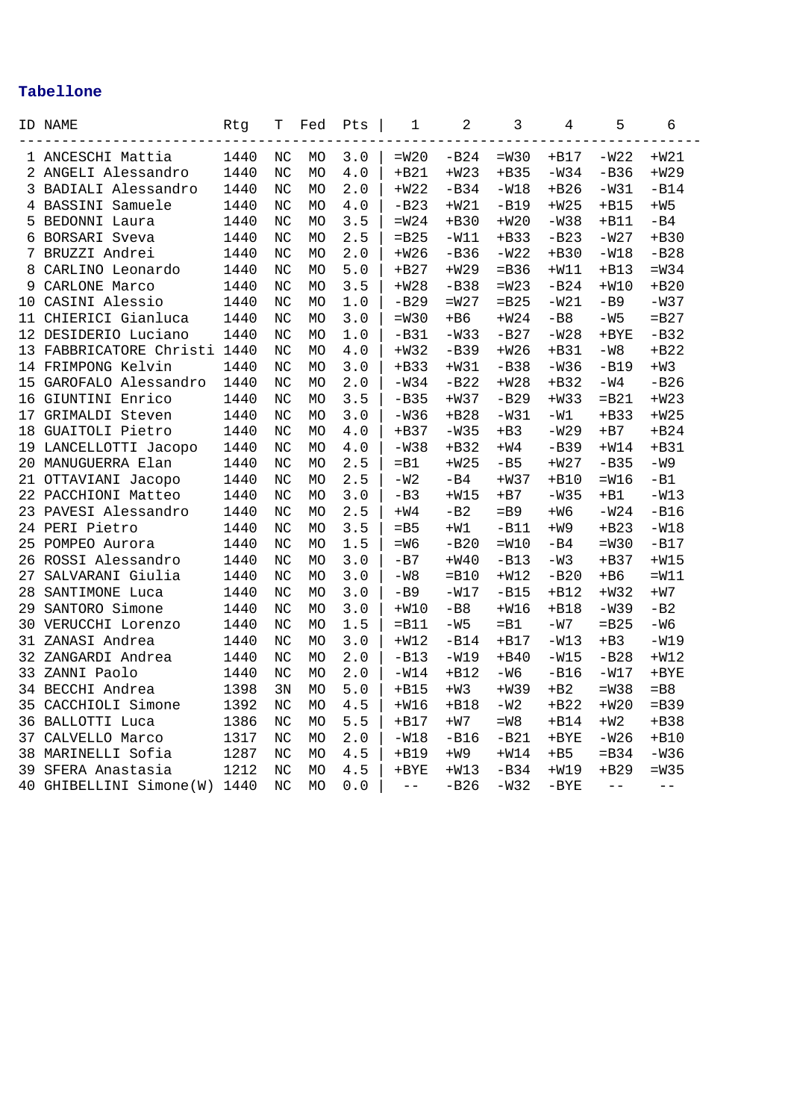|    | ID NAME              | Rtg  | Т  | Fed       | Pts   | 1       | $\overline{2}$ | 3       | 4       | 5       | 6         |
|----|----------------------|------|----|-----------|-------|---------|----------------|---------|---------|---------|-----------|
|    | 1 ANCESCHI Mattia    | 1440 | NC | MO        | 3.0   | $=W20$  | $-B24$         | $=W30$  | $+B17$  | $-W22$  | $+W21$    |
|    | 2 ANGELI Alessandro  | 1440 | NC | <b>MO</b> | 4.0   | $+B21$  | $+W23$         | $+B35$  | $-W34$  | $-B36$  | $+W29$    |
| 3  | BADIALI Alessandro   | 1440 | NC | <b>MO</b> | $2.0$ | $+W22$  | $-B34$         | $-W18$  | $+B26$  | $-W31$  | $-B14$    |
| 4  | BASSINI Samuele      | 1440 | NC | MO        | 4.0   | $-B23$  | $+W21$         | $-B19$  | $+W25$  | $+B15$  | $+W5$     |
| 5  | BEDONNI Laura        | 1440 | NC | <b>MO</b> | 3.5   | $=W24$  | $+B30$         | $+W20$  | $-W38$  | $+B11$  | $-B4$     |
| 6  | BORSARI Sveva        | 1440 | NC | MO        | 2.5   | $=$ B25 | $-W11$         | $+B33$  | $-B23$  | $-W27$  | $+B30$    |
| 7  | BRUZZI Andrei        | 1440 | NC | MO        | 2.0   | $+W26$  | $-B36$         | $-W22$  | $+B30$  | $-W18$  | $-B28$    |
| 8  | CARLINO Leonardo     | 1440 | NC | MO        | 5.0   | $+B27$  | $+W29$         | $=$ B36 | $+W11$  | $+B13$  | $=W34$    |
| 9  | CARLONE Marco        | 1440 | NC | <b>MO</b> | 3.5   | $+W28$  | $-B38$         | $=W23$  | $-B24$  | $+W10$  | $+B20$    |
| 10 | CASINI Alessio       | 1440 | NC | MO        | 1.0   | $-B29$  | $=W27$         | $=$ B25 | $-W21$  | $-B9$   | $-W37$    |
| 11 | CHIERICI Gianluca    | 1440 | NC | МO        | 3.0   | $=W30$  | $+B6$          | $+W24$  | $-B8$   | $-W5$   | $=$ B27   |
| 12 | DESIDERIO Luciano    | 1440 | NC | MO        | 1.0   | $-B31$  | $-W33$         | $-B27$  | $-W28$  | $+$ BYE | $-B32$    |
| 13 | FABBRICATORE Christi | 1440 | NC | <b>MO</b> | 4.0   | $+W32$  | $-B39$         | $+W26$  | $+B31$  | $-W8$   | $+B22$    |
| 14 | FRIMPONG Kelvin      | 1440 | NC | MO        | 3.0   | $+B33$  | $+W31$         | $-B38$  | $-W36$  | $-B19$  | $+W3$     |
| 15 | GAROFALO Alessandro  | 1440 | NC | MO        | 2.0   | $-W34$  | $-B22$         | $+W28$  | $+B32$  | $-W4$   | $-B26$    |
| 16 | GIUNTINI Enrico      | 1440 | NC | MO        | 3.5   | $-B35$  | $+W37$         | $-B29$  | $+W33$  | $=$ B21 | $+W23$    |
| 17 | GRIMALDI Steven      | 1440 | NC | <b>MO</b> | 3.0   | $-W36$  | $+B28$         | $-W31$  | $-W1$   | $+B33$  | $+W25$    |
| 18 | GUAITOLI Pietro      | 1440 | NC | <b>MO</b> | 4.0   | $+B37$  | $-W35$         | $+B3$   | $-W29$  | $+B7$   | $+B24$    |
| 19 | LANCELLOTTI Jacopo   | 1440 | NC | MO        | 4.0   | $-W38$  | $+B32$         | $+W4$   | $-B39$  | $+W14$  | $+B31$    |
| 20 | MANUGUERRA Elan      | 1440 | NC | <b>MO</b> | 2.5   | $=$ B1  | $+W25$         | $-B5$   | $+W27$  | $-B35$  | $-W9$     |
| 21 | OTTAVIANI Jacopo     | 1440 | NC | MO        | 2.5   | $-W2$   | $-B4$          | $+W37$  | $+B10$  | $=W16$  | $-B1$     |
| 22 | PACCHIONI Matteo     | 1440 | NC | MO        | 3.0   | $-B3$   | $+W15$         | $+B7$   | $-W35$  | $+B1$   | $-W13$    |
| 23 | PAVESI Alessandro    | 1440 | NC | МO        | 2.5   | $+W4$   | $-B2$          | $=$ B9  | $+W6$   | $-W24$  | $-B16$    |
|    | 24 PERI Pietro       | 1440 | NC | MO        | 3.5   | $=$ B5  | $+W1$          | $-B11$  | $+W9$   | $+B23$  | $-W18$    |
| 25 | POMPEO Aurora        | 1440 | NC | MO        | 1.5   | $=W6$   | $-B20$         | $=W10$  | $-B4$   | $=W30$  | $-B17$    |
| 26 | ROSSI Alessandro     | 1440 | NC | МO        | 3.0   | $-B7$   | $+W40$         | $-B13$  | $-W3$   | $+B37$  | $+W15$    |
| 27 | SALVARANI Giulia     | 1440 | NC | MO        | 3.0   | $-W8$   | $=$ B10        | $+W12$  | $-B20$  | $+B6$   | $=W11$    |
| 28 | SANTIMONE Luca       | 1440 | NC | <b>MO</b> | 3.0   | $-B9$   | $-W17$         | $-B15$  | $+B12$  | $+W32$  | $+W7$     |
| 29 | SANTORO Simone       | 1440 | NC | MO        | 3.0   | $+W10$  | $-B8$          | $+W16$  | $+B18$  | $-W39$  | $-B2$     |
| 30 | VERUCCHI Lorenzo     | 1440 | NC | <b>MO</b> | 1.5   | $=$ B11 | $-W5$          | $=$ B1  | $-W7$   | $=$ B25 | $-W6$     |
| 31 | ZANASI Andrea        | 1440 | NC | MO        | 3.0   | $+W12$  | $-B14$         | $+B17$  | $-W13$  | $+B3$   | $-W19$    |
| 32 | ZANGARDI Andrea      | 1440 | NC | <b>MO</b> | 2.0   | $-B13$  | $-W19$         | $+B40$  | $-W15$  | $-B28$  | $+W12$    |
| 33 | ZANNI Paolo          | 1440 | NC | MO        | 2.0   | $-W14$  | $+B12$         | $-W6$   | $-B16$  | $-W17$  | $+$ BYE   |
| 34 | BECCHI Andrea        | 1398 | 3N | MO        | $5.0$ | $+B15$  | $+W3$          | $+W39$  | $+B2$   | $=W38$  | $=$ B $8$ |
| 35 | CACCHIOLI Simone     | 1392 | NC | MO        | 4.5   | $+W16$  | $+B18$         | $-W2$   | $+B22$  | $+W20$  | $=$ B39   |
| 36 | BALLOTTI Luca        | 1386 | NC | МO        | 5.5   | $+B17$  | $+W7$          | $=W8$   | $+B14$  | $+W2$   | $+B38$    |
| 37 | CALVELLO Marco       | 1317 | NC | MO        | 2.0   | $-W18$  | $-B16$         | $-B21$  | $+$ BYE | $-W26$  | $+B10$    |
| 38 | MARINELLI Sofia      | 1287 | NC | <b>MO</b> | 4.5   | $+B19$  | $+W9$          | $+W14$  | $+B5$   | $=$ B34 | $-W36$    |
| 39 | SFERA Anastasia      | 1212 | NC | МO        | 4.5   | $+$ BYE | $+W13$         | $-B34$  | $+W19$  | $+B29$  | $=W35$    |
| 40 | GHIBELLINI Simone(W) | 1440 | NC | MO        | $0.0$ | $- -$   | $-B26$         | $-W32$  | $-BYE$  | $- -$   | $- -$     |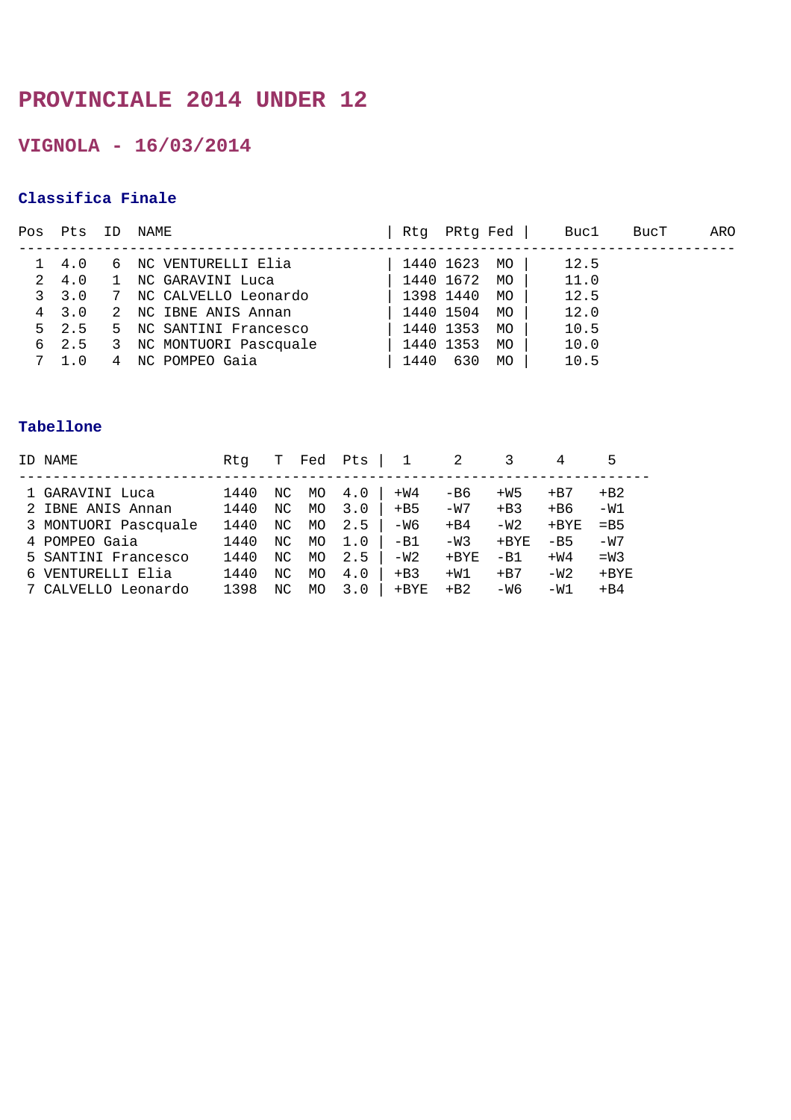## **PROVINCIALE 2014 UNDER 12**

**VIGNOLA - 16/03/2014** 

### **Classifica Finale**

| Pos | Pts           | ΙD           | NAME                   | Rtq  | PRtq Fed  |    | Buc1 | BucT | ARO |
|-----|---------------|--------------|------------------------|------|-----------|----|------|------|-----|
|     |               |              |                        |      |           |    |      |      |     |
|     | 4.0           | 6            | NC VENTURELLI Elia     |      | 1440 1623 | MO | 12.5 |      |     |
| 2   | 4.0           |              | NC GARAVINI Luca       |      | 1440 1672 | MO | 11.0 |      |     |
|     | 3, 3.0        | 7            | NC CALVELLO Leonardo   |      | 1398 1440 | MO | 12.5 |      |     |
|     | 4 3.0         | 2            | NC IBNE ANIS Annan     |      | 1440 1504 | MO | 12.0 |      |     |
|     | $5 \quad 2.5$ |              | 5 NC SANTINI Francesco |      | 1440 1353 | MO | 10.5 |      |     |
|     | 6 2.5         | $\mathbf{3}$ | NC MONTUORI Pascquale  |      | 1440 1353 | MO | 10.0 |      |     |
|     |               | 4            | NC POMPEO Gaia         | 1440 | 630       | MO | 10.5 |      |     |

| ID NAME              | Rta  | т   | Fed | Pts | $\mathbf{1}$ | 2       |         | 4            |         |
|----------------------|------|-----|-----|-----|--------------|---------|---------|--------------|---------|
|                      |      |     |     |     |              |         |         |              |         |
| 1 GARAVINI Luca      | 1440 | NC  | MO  | 4.0 | $+W4$        | -B6     | $+W5$   | $+ B7$       | $+ B2$  |
| 2 IBNE ANIS Annan    | 1440 | NC. | MO  | 3.0 | $+B5$        | $-W7$   | $+B3$   | $+ B6$       | $-W1$   |
| 3 MONTUORI Pascquale | 1440 | NC. | MO  | 2.5 | -W6          | $+B4$   | $-W2$   | $+{\rm BYE}$ | $=$ B5  |
| 4 POMPEO Gaia        | 1440 | NC. | MO  | 1.0 | $-B1$        | $-W3$   | $+$ BYE | $-B5$        | $-W7$   |
| 5 SANTINI Francesco  | 1440 | NC. | MO  | 2.5 | $-W2$        | $+$ BYE | $-B1$   | $+W4$        | $=W3$   |
| 6 VENTURELLI Elia    | 1440 | NC  | MO. | 4.0 | $+B3$        | $+W1$   | $+ B7$  | $-W2$        | $+$ BYE |
| 7 CALVELLO Leonardo  | 1398 | ΝC  | MO. | 3.0 | $+$ BYE      | $+ B2$  | -W6     | $-W1$        | $+B4$   |